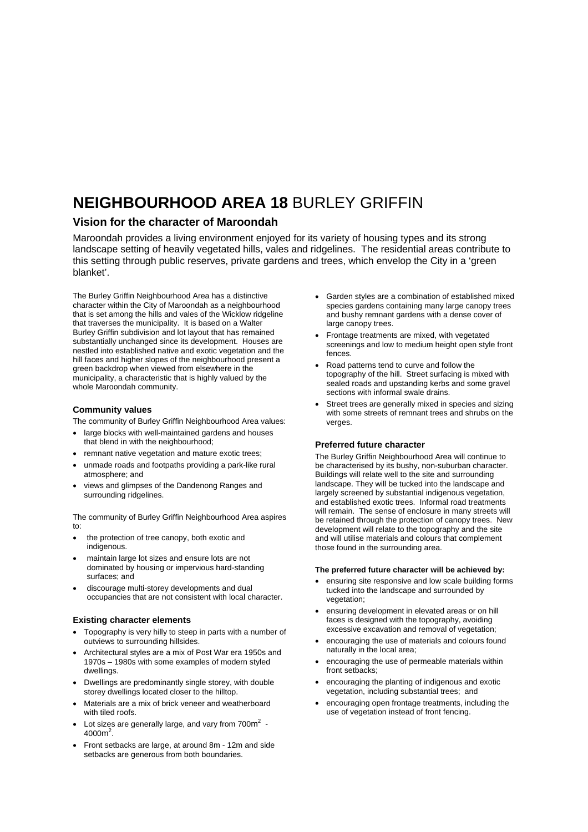## **NEIGHBOURHOOD AREA 18** BURLEY GRIFFIN

### **Vision for the character of Maroondah**

Maroondah provides a living environment enjoyed for its variety of housing types and its strong landscape setting of heavily vegetated hills, vales and ridgelines. The residential areas contribute to this setting through public reserves, private gardens and trees, which envelop the City in a 'green blanket'.

The Burley Griffin Neighbourhood Area has a distinctive character within the City of Maroondah as a neighbourhood that is set among the hills and vales of the Wicklow ridgeline that traverses the municipality. It is based on a Walter Burley Griffin subdivision and lot layout that has remained substantially unchanged since its development. Houses are nestled into established native and exotic vegetation and the hill faces and higher slopes of the neighbourhood present a green backdrop when viewed from elsewhere in the municipality, a characteristic that is highly valued by the whole Maroondah community.

#### **Community values**

The community of Burley Griffin Neighbourhood Area values:

- large blocks with well-maintained gardens and houses that blend in with the neighbourhood;
- remnant native vegetation and mature exotic trees;
- unmade roads and footpaths providing a park-like rural atmosphere; and
- views and glimpses of the Dandenong Ranges and surrounding ridgelines.

The community of Burley Griffin Neighbourhood Area aspires to:

- the protection of tree canopy, both exotic and indigenous.
- maintain large lot sizes and ensure lots are not dominated by housing or impervious hard-standing surfaces; and
- discourage multi-storey developments and dual occupancies that are not consistent with local character.

#### **Existing character elements**

- Topography is very hilly to steep in parts with a number of outviews to surrounding hillsides.
- Architectural styles are a mix of Post War era 1950s and 1970s – 1980s with some examples of modern styled dwellings.
- Dwellings are predominantly single storey, with double storey dwellings located closer to the hilltop.
- Materials are a mix of brick veneer and weatherboard with tiled roofs.
- Lot sizes are generally large, and vary from 700 $m^2$  - $4000m^2$ .
- Front setbacks are large, at around 8m 12m and side setbacks are generous from both boundaries.
- Garden styles are a combination of established mixed species gardens containing many large canopy trees and bushy remnant gardens with a dense cover of large canopy trees.
- Frontage treatments are mixed, with vegetated screenings and low to medium height open style front fences.
- Road patterns tend to curve and follow the topography of the hill. Street surfacing is mixed with sealed roads and upstanding kerbs and some gravel sections with informal swale drains.
- Street trees are generally mixed in species and sizing with some streets of remnant trees and shrubs on the verges.

#### **Preferred future character**

The Burley Griffin Neighbourhood Area will continue to be characterised by its bushy, non-suburban character. Buildings will relate well to the site and surrounding landscape. They will be tucked into the landscape and largely screened by substantial indigenous vegetation, and established exotic trees. Informal road treatments will remain. The sense of enclosure in many streets will be retained through the protection of canopy trees. New development will relate to the topography and the site and will utilise materials and colours that complement those found in the surrounding area.

#### **The preferred future character will be achieved by:**

- ensuring site responsive and low scale building forms tucked into the landscape and surrounded by vegetation;
- ensuring development in elevated areas or on hill faces is designed with the topography, avoiding excessive excavation and removal of vegetation;
- encouraging the use of materials and colours found naturally in the local area;
- encouraging the use of permeable materials within front setbacks;
- encouraging the planting of indigenous and exotic vegetation, including substantial trees; and
- encouraging open frontage treatments, including the use of vegetation instead of front fencing.